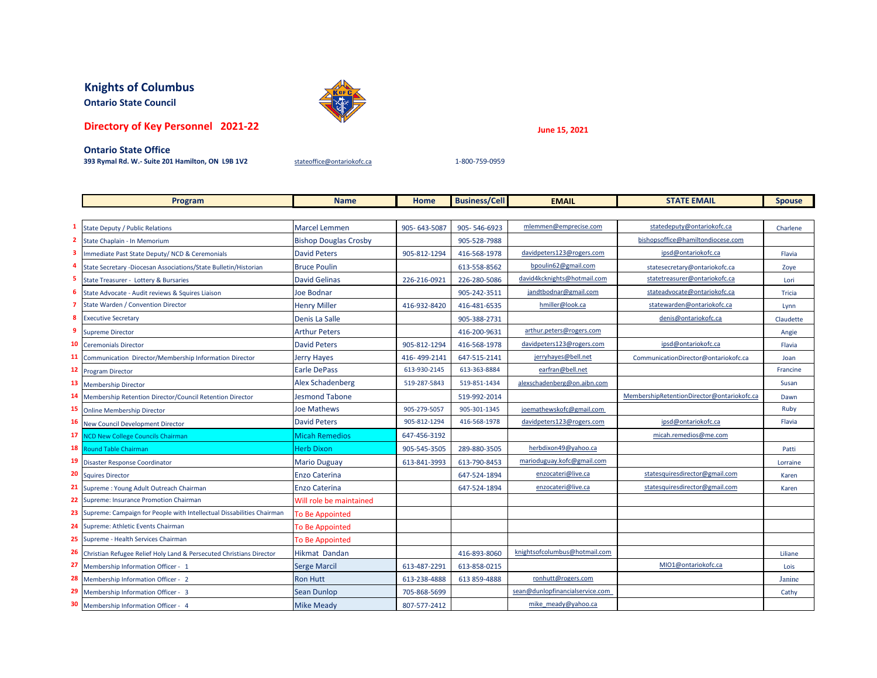## **Knights of Columbus**

**Ontario State Council**

## **Directory of Key Personnel 2021-22**

**June 15, 2021**

## **Ontario State Office**

**393 Rymal Rd. W.- Suite 201 Hamilton, ON L9B 1V2** [stateoffice@ontariokofc.ca](mailto:stateoffice@ontariokofc.ca) 1-800-759-0959

|              | Program                                                                  | <b>Name</b>                  | <b>Home</b>  | <b>Business/Cell</b> | <b>EMAIL</b>                    | <b>STATE EMAIL</b>                         | <b>Spouse</b> |
|--------------|--------------------------------------------------------------------------|------------------------------|--------------|----------------------|---------------------------------|--------------------------------------------|---------------|
|              |                                                                          |                              |              |                      |                                 |                                            |               |
| 1            | <b>State Deputy / Public Relations</b>                                   | <b>Marcel Lemmen</b>         | 905-643-5087 | 905-546-6923         | mlemmen@emprecise.com           | statedeputy@ontariokofc.ca                 | Charlene      |
| $\mathbf{2}$ | State Chaplain - In Memorium                                             | <b>Bishop Douglas Crosby</b> |              | 905-528-7988         |                                 | bishopsoffice@hamiltondiocese.com          |               |
| 3            | Immediate Past State Deputy/ NCD & Ceremonials                           | <b>David Peters</b>          | 905-812-1294 | 416-568-1978         | davidpeters123@rogers.com       | ipsd@ontariokofc.ca                        | Flavia        |
| 4            | State Secretary -Diocesan Associations/State Bulletin/Historian          | <b>Bruce Poulin</b>          |              | 613-558-8562         | bpoulin62@gmail.com             | statesecretary@ontariokofc.ca              | Zoye          |
| 5.           | State Treasurer - Lottery & Bursaries                                    | <b>David Gelinas</b>         | 226-216-0921 | 226-280-5086         | david4kcknights@hotmail.com     | statetreasurer@ontariokofc.ca              | Lori          |
| 6            | State Advocate - Audit reviews & Squires Liaison                         | <b>Joe Bodnar</b>            |              | 905-242-3511         | jandtbodnar@gmail.com           | stateadvocate@ontariokofc.ca               | Tricia        |
|              | 7 State Warden / Convention Director                                     | <b>Henry Miller</b>          | 416-932-8420 | 416-481-6535         | hmiller@look.ca                 | statewarden@ontariokofc.ca                 | Lynn          |
| 8            | <b>Executive Secretary</b>                                               | Denis La Salle               |              | 905-388-2731         |                                 | denis@ontariokofc.ca                       | Claudette     |
| 9            | <b>Supreme Director</b>                                                  | <b>Arthur Peters</b>         |              | 416-200-9631         | arthur.peters@rogers.com        |                                            | Angie         |
| 10           | <b>Ceremonials Director</b>                                              | <b>David Peters</b>          | 905-812-1294 | 416-568-1978         | davidpeters123@rogers.com       | ipsd@ontariokofc.ca                        | Flavia        |
| 11           | Communication Director/Membership Information Director                   | <b>Jerry Hayes</b>           | 416-499-2141 | 647-515-2141         | jerryhayes@bell.net             | CommunicationDirector@ontariokofc.ca       | Joan          |
| 12           | <b>Program Director</b>                                                  | Earle DePass                 | 613-930-2145 | 613-363-8884         | earfran@bell.net                |                                            | Francine      |
|              | 13 Membership Director                                                   | <b>Alex Schadenberg</b>      | 519-287-5843 | 519-851-1434         | alexschadenberg@on.aibn.com     |                                            | Susan         |
| 14           | Membership Retention Director/Council Retention Director                 | <b>Jesmond Tabone</b>        |              | 519-992-2014         |                                 | MembershipRetentionDirector@ontariokofc.ca | Dawn          |
| 15           | <b>Online Membership Director</b>                                        | <b>Joe Mathews</b>           | 905-279-5057 | 905-301-1345         | joemathewskofc@gmail.com        |                                            | Ruby          |
| 16           | New Council Development Director                                         | <b>David Peters</b>          | 905-812-1294 | 416-568-1978         | davidpeters123@rogers.com       | ipsd@ontariokofc.ca                        | Flavia        |
| 17           | <b>NCD New College Councils Chairman</b>                                 | <b>Micah Remedios</b>        | 647-456-3192 |                      |                                 | micah.remedios@me.com                      |               |
|              | 18 Round Table Chairman                                                  | <b>Herb Dixon</b>            | 905-545-3505 | 289-880-3505         | herbdixon49@yahoo.ca            |                                            | Patti         |
| 19           | Disaster Response Coordinator                                            | <b>Mario Duguay</b>          | 613-841-3993 | 613-790-8453         | marioduguay.kofc@gmail.com      |                                            | Lorraine      |
| 20           | <b>Squires Director</b>                                                  | <b>Enzo Caterina</b>         |              | 647-524-1894         | enzocateri@live.ca              | statesquiresdirector@gmail.com             | Karen         |
|              | 21 Supreme: Young Adult Outreach Chairman                                | <b>Enzo Caterina</b>         |              | 647-524-1894         | enzocateri@live.ca              | statesquiresdirector@gmail.com             | Karen         |
|              | 22 Supreme: Insurance Promotion Chairman                                 | Will role be maintained      |              |                      |                                 |                                            |               |
|              | 23 Supreme: Campaign for People with Intellectual Dissabilities Chairman | <b>To Be Appointed</b>       |              |                      |                                 |                                            |               |
|              | 24 Supreme: Athletic Events Chairman                                     | <b>To Be Appointed</b>       |              |                      |                                 |                                            |               |
|              | 25 Supreme - Health Services Chairman                                    | To Be Appointed              |              |                      |                                 |                                            |               |
| 26           | Christian Refugee Relief Holy Land & Persecuted Christians Director      | Hikmat Dandan                |              | 416-893-8060         | knightsofcolumbus@hotmail.com   |                                            | Liliane       |
|              | 27 Membership Information Officer - 1                                    | <b>Serge Marcil</b>          | 613-487-2291 | 613-858-0215         |                                 | MIO1@ontariokofc.ca                        | Lois          |
| 28           | Membership Information Officer - 2                                       | Ron Hutt                     | 613-238-4888 | 613 859-4888         | ronhutt@rogers.com              |                                            | Janine        |
| 29           | Membership Information Officer - 3                                       | <b>Sean Dunlop</b>           | 705-868-5699 |                      | sean@dunlopfinancialservice.com |                                            | Cathy         |
|              | 30 Membership Information Officer - 4                                    | <b>Mike Meady</b>            | 807-577-2412 |                      | mike meady@yahoo.ca             |                                            |               |